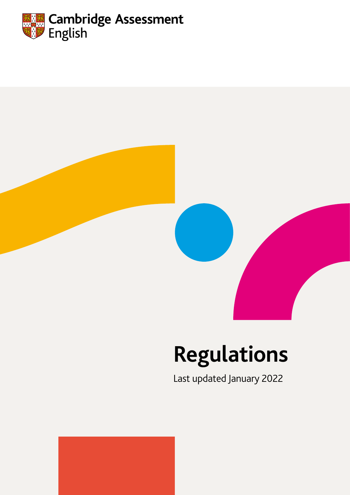



# **Regulations**

Last updated January 2022

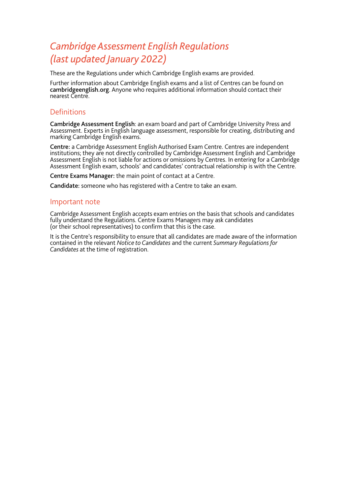# *Cambridge Assessment English Regulations (last updated January 2022)*

These are the Regulations under which Cambridge English exams are provided.

Further information about Cambridge English exams and a list of Centres can be found on [cambridgeenglish.org](http://www.cambridgeenglish.org). Anyone who requires additional information should contact their nearest Centre.

#### **Definitions**

Cambridge Assessment English: an exam board and part of Cambridge University Press and Assessment. Experts in English language assessment, responsible for creating, distributing and marking Cambridge English exams.

Centre: a Cambridge Assessment English Authorised Exam Centre. Centres are independent institutions; they are not directly controlled by Cambridge Assessment English and Cambridge Assessment English is not liable for actions or omissions by Centres. In entering for a Cambridge Assessment English exam, schools' and candidates' contractual relationship is with the Centre.

Centre Exams Manager: the main point of contact at a Centre.

Candidate: someone who has registered with a Centre to take an exam.

#### Important note

Cambridge Assessment English accepts exam entries on the basis that schools and candidates fully understand the Regulations. Centre Exams Managers may ask candidates (or their school representatives) to confirm that this is the case.

It is the Centre's responsibility to ensure that all candidates are made aware of the information contained in the relevant *Notice to Candidates* and the current *Summary Regulations for Candidates* at the time of registration.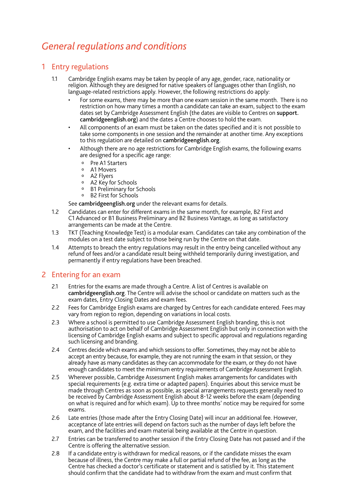# *General regulations and conditions*

## 1 Entry regulations

- 1.1 Cambridge English exams may be taken by people of any age, gender, race, nationality or religion. Although they are designed for native speakers of languages other than English, no language-related restrictions apply. However, the following restrictions do apply:
	- For some exams, there may be more than one exam session in the same month. There is no restriction on how many times a month a candidate can take an exam, subject to the exam dates set by Cambridge Assessment English (the dates are visible to Centres on [support.](http://support.cambridgeenglish.org) [cambridgeenglish.org](http://support.cambridgeenglish.org)) and the dates a Centre chooses to hold the exam.
	- All components of an exam must be taken on the dates specified and it is not possible to take some components in one session and the remainder at another time. Any exceptions to this regulation are detailed on [cambridgeenglish.org](http://www.cambridgeenglish.org).
	- Although there are no age restrictions for Cambridge English exams, the following exams are designed for a specific age range:
		- o Pre A1 Starters
		- o A1 Movers
		- o A2 Flyers
		- o A2 Key for Schools
		- o B1 Preliminary for Schools
		- o B2 First for Schools

See [cambridgeenglish.org](http://www.cambridgeenglish.org) under the relevant exams for details.

- 1.2 Candidates can enter for different exams in the same month, for example, B2 First and C1 Advanced or B1 Business Preliminary and B2 Business Vantage, as long as satisfactory arrangements can be made at the Centre.
- 1.3 TKT (Teaching Knowledge Test) is a modular exam. Candidates can take any combination of the modules on a test date subject to those being run by the Centre on that date.
- 1.4 Attempts to breach the entry regulations may result in the entry being cancelled without any refund of fees and/or a candidate result being withheld temporarily during investigation, and permanently if entry regulations have been breached.

#### 2 Entering for an exam

- 2.1 Entries for the exams are made through a Centre. A list of Centres is available on [cambridgeenglish.org](http://www.cambridgeenglish.org). The Centre will advise the school or candidate on matters such as the exam dates, Entry Closing Dates and exam fees.
- 2.2 Fees for Cambridge English exams are charged by Centres for each candidate entered. Fees may vary from region to region, depending on variations in local costs.
- 2.3 Where a school is permitted to use Cambridge Assessment English branding, this is not authorisation to act on behalf of Cambridge Assessment English but only in connection with the licensing of Cambridge English exams and subject to specific approval and regulations regarding such licensing and branding.
- 2.4 Centres decide which exams and which sessions to offer. Sometimes, they may not be able to accept an entry because, for example, they are not running the exam in that session, or they already have as many candidates as they can accommodate for the exam, or they do not have enough candidates to meet the minimum entry requirements of Cambridge Assessment English.
- 2.5 Wherever possible, Cambridge Assessment English makes arrangements for candidates with special requirements (e.g. extra time or adapted papers). Enquiries about this service must be made through Centres as soon as possible, as special arrangements requests generally need to be received by Cambridge Assessment English about 8-12 weeks before the exam (depending on what is required and for which exam). Up to three months' notice may be required for some exams.
- 2.6 Late entries (those made after the Entry Closing Date) will incur an additional fee. However, acceptance of late entries will depend on factors such as the number of days left before the exam, and the facilities and exam material being available at the Centre in question.
- 2.7 Entries can be transferred to another session if the Entry Closing Date has not passed and if the Centre is offering the alternative session.
- 2.8 If a candidate entry is withdrawn for medical reasons, or if the candidate misses the exam because of illness, the Centre may make a full or partial refund of the fee, as long as the Centre has checked a doctor's certificate or statement and is satisfied by it. This statement should confirm that the candidate had to withdraw from the exam and must confirm that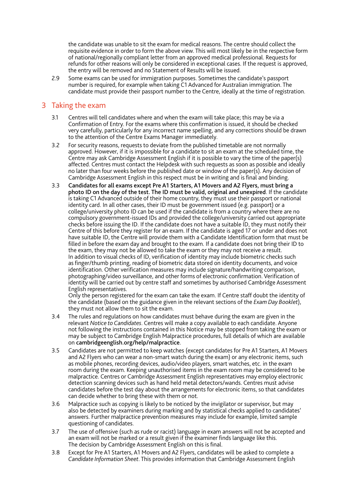the candidate was unable to sit the exam for medical reasons. The centre should collect the requisite evidence in order to form the above view. This will most likely be in the respective form of national/regionally compliant letter from an approved medical professional. Requests for refunds for other reasons will only be considered in exceptional cases. If the request is approved, the entry will be removed and no Statement of Results will be issued.

2.9 Some exams can be used for immigration purposes. Sometimes the candidate's passport number is required, for example when taking C1 Advanced for Australian immigration. The candidate must provide their passport number to the Centre, ideally at the time of registration.

## 3 Taking the exam

- 3.1 Centres will tell candidates where and when the exam will take place; this may be via a Confirmation of Entry. For the exams where this confirmation is issued, it should be checked very carefully, particularly for any incorrect name spelling, and any corrections should be drawn to the attention of the Centre Exams Manager immediately.
- 3.2 For security reasons, requests to deviate from the published timetable are not normally approved. However, if it is impossible for a candidate to sit an exam at the scheduled time, the Centre may ask Cambridge Assessment English if it is possible to vary the time of the paper(s) affected. Centres must contact the Helpdesk with such requests as soon as possible and ideally no later than four weeks before the published date or window of the paper(s). Any decision of Cambridge Assessment English in this respect must be in writing and is final and binding.
- 3.3 Candidates for all exams except Pre A1 Starters, A1 Movers and A2 Flyers, must bring a photo ID on the day of the test. The ID must be valid, original and unexpired. If the candidate is taking C1 Advanced outside of their home country, they must use their passport or national identity card. In all other cases, their ID must be government issued (e.g. passport) or a college/university photo ID can be used if the candidate is from a country where there are no compulsory government-issued IDs and provided the college/university carried out appropriate checks before issuing the ID. If the candidate does not have a suitable ID, they must notify their Centre of this before they register for an exam. If the candidate is aged 17 or under and does not have suitable ID, the Centre will provide them with a Candidate Identification form that must be filled in before the exam day and brought to the exam. If a candidate does not bring their ID to the exam, they may not be allowed to take the exam or they may not receive a result. In addition to visual checks of ID, verification of identity may include biometric checks such as finger/thumb printing, reading of biometric data stored on identity documents, and voice identification. Other verification measures may include signature/handwriting comparison, photographing/video surveillance, and other forms of electronic confirmation. Verification of identity will be carried out by centre staff and sometimes by authorised Cambridge Assessment English representatives.

Only the person registered for the exam can take the exam. If Centre staff doubt the identity of the candidate (based on the guidance given in the relevant sections of the *Exam Day Booklet*), they must not allow them to sit the exam.

- 3.4 The rules and regulations on how candidates must behave during the exam are given in the relevant *Notice to Candidates*. Centres will make a copy available to each candidate. Anyone not following the instructions contained in this Notice may be stopped from taking the exam or may be subject to Cambridge English Malpractice procedures, full details of which are available on [cambridgeenglish.org/help/malpractice](http://www.cambridgeenglish.org/help/malpractice).
- 3.5 Candidates are not permitted to keep watches (except candidates for Pre A1 Starters, A1 Movers and A2 Flyers who can wear a non-smart watch during the exam) or any electronic items, such as mobile phones, recording devices, audio/video players, smart watches, etc. in the exam room during the exam. Keeping unauthorised items in the exam room may be considered to be malpractice. Centres or Cambridge Assessment English representatives may employ electronic detection scanning devices such as hand held metal detectors/wands. Centres must advise candidates before the test day about the arrangements for electronic items, so that candidates can decide whether to bring these with them or not.
- 3.6 Malpractice such as copying is likely to be noticed by the invigilator or supervisor, but may also be detected by examiners during marking and by statistical checks applied to candidates' answers. Further malpractice prevention measures may include for example, limited sample questioning of candidates.
- 3.7 The use of offensive (such as rude or racist) language in exam answers will not be accepted and an exam will not be marked or a result given if the examiner finds language like this. The decision by Cambridge Assessment English on this is final.
- 3.8 Except for Pre A1 Starters, A1 Movers and A2 Flyers, candidates will be asked to complete a *Candidate Information Sheet*. This provides information that Cambridge Assessment English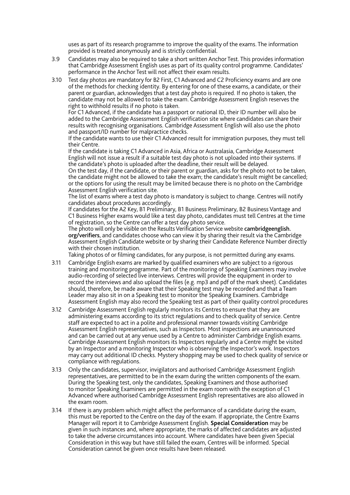uses as part of its research programme to improve the quality of the exams. The information provided is treated anonymously and is strictly confidential.

- 3.9 Candidates may also be required to take a short written Anchor Test. This provides information that Cambridge Assessment English uses as part of its quality control programme. Candidates' performance in the Anchor Test will not affect their exam results.
- 3.10 Test day photos are mandatory for B2 First, C1 Advanced and C2 Proficiency exams and are one of the methods for checking identity. By entering for one of these exams, a candidate, or their parent or guardian, acknowledges that a test day photo is required. If no photo is taken, the candidate may not be allowed to take the exam. Cambridge Assessment English reserves the right to withhold results if no photo is taken.

For C1 Advanced, if the candidate has a passport or national ID, their ID number will also be added to the Cambridge Assessment English verification site where candidates can share their results with recognising organisations. Cambridge Assessment English will also use the photo and passport/ID number for malpractice checks.

If the candidate wants to use their C1 Advanced result for immigration purposes, they must tell their Centre.

If the candidate is taking C1 Advanced in Asia, Africa or Australasia, Cambridge Assessment English will not issue a result if a suitable test day photo is not uploaded into their systems. If the candidate's photo is uploaded after the deadline, their result will be delayed.

On the test day, if the candidate, or their parent or guardian, asks for the photo not to be taken, the candidate might not be allowed to take the exam; the candidate's result might be cancelled; or the options for using the result may be limited because there is no photo on the Cambridge Assessment English verification site.

The list of exams where a test day photo is mandatory is subject to change. Centres will notify candidates about procedures accordingly.

If candidates for the A2 Key, B1 Preliminary, B1 Business Preliminary, B2 Business Vantage and C1 Business Higher exams would like a test day photo, candidates must tell Centres at the time of registration, so the Centre can offer a test day photo service.

The photo will only be visible on the Results Verification Service website [cambridgeenglish.](http://verifier.cambridgeenglish.org/) [org/v](http://verifier.cambridgeenglish.org/)erifiers, and candidates choose who can view it by sharing their result via the Cambridge Assessment English Candidate website or by sharing their Candidate Reference Number directly with their chosen institution.

Taking photos of or filming candidates, for any purpose, is not permitted during any exams.

- 3.11 Cambridge English exams are marked by qualified examiners who are subject to a rigorous training and monitoring programme. Part of the monitoring of Speaking Examiners may involve audio-recording of selected live interviews. Centres will provide the equipment in order to record the interviews and also upload the files (e.g. mp3 and pdf of the mark sheet). Candidates should, therefore, be made aware that their Speaking test may be recorded and that a Team Leader may also sit in on a Speaking test to monitor the Speaking Examiners. Cambridge Assessment English may also record the Speaking test as part of their quality control procedures
- 3.12 Cambridge Assessment English regularly monitors its Centres to ensure that they are administering exams according to its strict regulations and to check quality of service. Centre staff are expected to act in a polite and professional manner towards visiting Cambridge Assessment English representatives, such as Inspectors. Most inspections are unannounced and can be carried out at any venue used by a Centre to administer Cambridge English exams. Cambridge Assessment English monitors its Inspectors regularly and a Centre might be visited by an Inspector and a monitoring Inspector who is observing the Inspector's work. Inspectors may carry out additional ID checks. Mystery shopping may be used to check quality of service or compliance with regulations.
- 3.13 Only the candidates, supervisor, invigilators and authorised Cambridge Assessment English representatives, are permitted to be in the exam during the written components of the exam. During the Speaking test, only the candidates, Speaking Examiners and those authorised to monitor Speaking Examiners are permitted in the exam room with the exception of C1 Advanced where authorised Cambridge Assessment English representatives are also allowed in the exam room.
- 3.14 If there is any problem which might affect the performance of a candidate during the exam, this must be reported to the Centre on the day of the exam. If appropriate, the Centre Exams Manager will report it to Cambridge Assessment English. **Special Consideration** may be given in such instances and, where appropriate, the marks of affected candidates are adjusted to take the adverse circumstances into account. Where candidates have been given Special Consideration in this way but have still failed the exam, Centres will be informed. Special Consideration cannot be given once results have been released.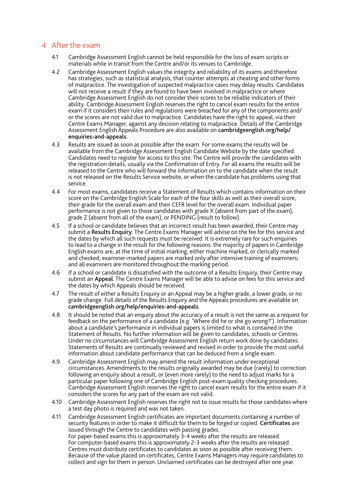# 4 After the exam

- 4.1 Cambridge Assessment English cannot be held responsible for the loss of exam scripts or materials while in transit from the Centre and/or its venues to Cambridge.
- 4.2 Cambridge Assessment English values the integrity and reliability of its exams and therefore has strategies, such as statistical analysis, that counter attempts at cheating and other forms of malpractice. The investigation of suspected malpractice cases may delay results. Candidates will not receive a result if they are found to have been involved in malpractice or where Cambridge Assessment English do not consider their scores to be reliable indicators of their ability. Cambridge Assessment English reserves the right to cancel exam results for the entire exam if it considers their rules and regulations were breached for any of the components and/ or the scores are not valid due to malpractice. Candidates have the right to appeal, via their Centre Exams Manager, against any decision relating to malpractice. Details of the Cambridge Assessment English Appeals Procedure are also available on [cambridgeenglish.org/help/](http://cambridgeenglish.org/help/enquiries-and-appeals) [enquiries-and-appeals](http://cambridgeenglish.org/help/enquiries-and-appeals).
- 4.3 Results are issued as soon as possible after the exam. For some exams the results will be available from the Cambridge Assessment English Candidate Website by the date specified. Candidates need to register for access to this site. The Centre will provide the candidates with the registration details, usually via the Confirmation of Entry. For all exams the results will be released to the Centre who will forward the information on to the candidate when the result is not released on the Results Service website, or when the candidate has problems using that service.
- 4.4 For most exams, candidates receive a Statement of Results which contains information on their score on the Cambridge English Scale for each of the four skills as well as their overall score, their grade for the overall exam and their CEFR level for the overall exam. Individual paper performance is not given to those candidates with grade X (absent from part of the exam), grade Z (absent from all of the exam), or PENDING (result to follow).
- 4.5 If a school or candidate believes that an incorrect result has been awarded, their Centre may submit a Results Enquiry. The Centre Exams Manager will advise on the fee for this service and the dates by which all such requests must be received. It is extremely rare for such enquiries to lead to a change in the result for the following reasons: the majority of papers in Cambridge English exams are, at the time of initial marking, either machine marked, or clerically marked and checked; examiner-marked papers are marked only after intensive training of examiners; and all examiners are monitored throughout the marking period.
- 4.6 If a school or candidate is dissatisfied with the outcome of a Results Enquiry, their Centre may submit an Appeal. The Centre Exams Manager will be able to advise on fees for this service and the dates by which Appeals should be received.
- 4.7 The result of either a Results Enquiry or an Appeal may be a higher grade, a lower grade, or no grade change. Full details of the Results Enquiry and the Appeals procedures are available on [cambridgeenglish.org/help/enquiries-and-appeals](http://cambridgeenglish.org/help/enquiries-and-appeals).
- 4.8 It should be noted that an enquiry about the accuracy of a result is not the same as a request for feedback on the performance of a candidate (e.g. 'Where did he or she go wrong?'). Information about a candidate's performance in individual papers is limited to what is contained in the Statement of Results. No further information will be given to candidates, schools or Centres. Under no circumstances will Cambridge Assessment English return work done by candidates. Statements of Results are continually reviewed and revised in order to provide the most useful information about candidate performance that can be deduced from a single exam.
- 4.9 Cambridge Assessment English may amend the result information under exceptional circumstances. Amendments to the results originally awarded may be due (rarely) to correction following an enquiry about a result, or (even more rarely) to the need to adjust marks for a particular paper following one of Cambridge English post-exam quality checking procedures. Cambridge Assessment English reserves the right to cancel exam results for the entire exam if it considers the scores for any part of the exam are not valid.
- 4.10 Cambridge Assessment English reserves the right not to issue results for those candidates where a test day photo is required and was not taken.
- 4.11 Cambridge Assessment English certificates are important documents containing a number of security features in order to make it difficult for them to be forged or copied. Certificates are issued through the Centre to candidates with passing grades. For paper-based exams this is approximately 3-4 weeks after the results are released. For computer-based exams this is approximately 2-3 weeks after the results are released. Centres must distribute certificates to candidates as soon as possible after receiving them. Because of the value placed on certificates, Centre Exams Managers may require candidates to collect and sign for them in person. Unclaimed certificates can be destroyed after one year.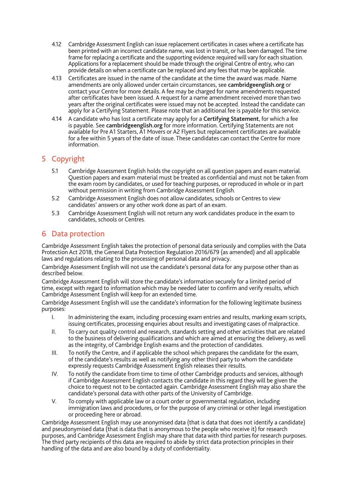- 4.12 Cambridge Assessment English can issue replacement certificates in cases where a certificate has been printed with an incorrect candidate name, was lost in transit, or has been damaged. The time frame for replacing a certificate and the supporting evidence required will vary for each situation. Applications for a replacement should be made through the original Centre of entry, who can provide details on when a certificate can be replaced and any fees that may be applicable.
- 4.13 Certificates are issued in the name of the candidate at the time the award was made. Name amendments are only allowed under certain circumstances, see [cambridgeenglish.org](http://cambridgeenglish.org) or contact your Centre for more details. A fee may be charged for name amendments requested after certificates have been issued. A request for a name amendment received more than two years after the original certificates were issued may not be accepted. Instead the candidate can apply for a Certifying Statement. Please note that an additional fee is payable for this service.
- 4.14 A candidate who has lost a certificate may apply for a Certifying Statement, for which a fee is payable. See [cambridgeenglish.org](http://www.cambridgeenglish.org) for more information. Certifying Statements are not available for Pre A1 Starters, A1 Movers or A2 Flyers but replacement certificates are available for a fee within 5 years of the date of issue. These candidates can contact the Centre for more information.

# 5 Copyright

- 5.1 Cambridge Assessment English holds the copyright on all question papers and exam material. Question papers and exam material must be treated as confidential and must not be taken from the exam room by candidates, or used for teaching purposes, or reproduced in whole or in part without permission in writing from Cambridge Assessment English.
- 5.2 Cambridge Assessment English does not allow candidates, schools or Centres to view candidates' answers or any other work done as part of an exam.
- 5.3 Cambridge Assessment English will not return any work candidates produce in the exam to candidates, schools or Centres.

## 6 Data protection

Cambridge Assessment English takes the protection of personal data seriously and complies with the Data Protection Act 2018, the General Data Protection Regulation 2016/679 (as amended) and all applicable laws and regulations relating to the processing of personal data and privacy.

Cambridge Assessment English will not use the candidate's personal data for any purpose other than as described below.

Cambridge Assessment English will store the candidate's information securely for a limited period of time, except with regard to information which may be needed later to confirm and verify results, which Cambridge Assessment English will keep for an extended time.

Cambridge Assessment English will use the candidate's information for the following legitimate business purposes:

- I. In administering the exam, including processing exam entries and results, marking exam scripts, issuing certificates, processing enquiries about results and investigating cases of malpractice.
- II. To carry out quality control and research, standards setting and other activities that are related to the business of delivering qualifications and which are aimed at ensuring the delivery, as well as the integrity, of Cambridge English exams and the protection of candidates.
- III. To notify the Centre, and if applicable the school which prepares the candidate for the exam, of the candidate's results as well as notifying any other third party to whom the candidate expressly requests Cambridge Assessment English releases their results.
- IV. To notify the candidate from time to time of other Cambridge products and services, although if Cambridge Assessment English contacts the candidate in this regard they will be given the choice to request not to be contacted again. Cambridge Assessment English may also share the candidate's personal data with other parts of the University of Cambridge.
- V. To comply with applicable law or a court order or governmental regulation, including immigration laws and procedures, or for the purpose of any criminal or other legal investigation or proceeding here or abroad.

Cambridge Assessment English may use anonymised data (that is data that does not identify a candidate) and pseudonymised data (that is data that is anonymous to the people who receive it) for research purposes, and Cambridge Assessment English may share that data with third parties for research purposes. The third party recipients of this data are required to abide by strict data protection principles in their handling of the data and are also bound by a duty of confidentiality.